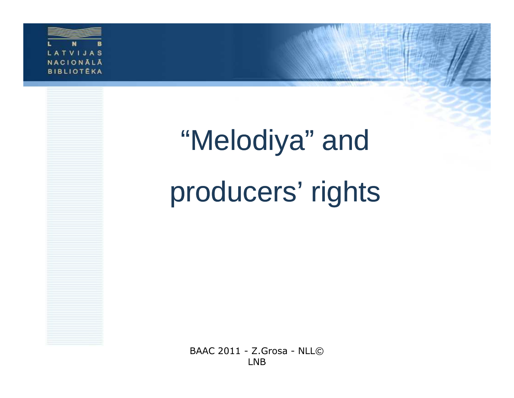

# "Melodiya" and producers' rights

BAAC 2011 - Z.Grosa - NLL© LNB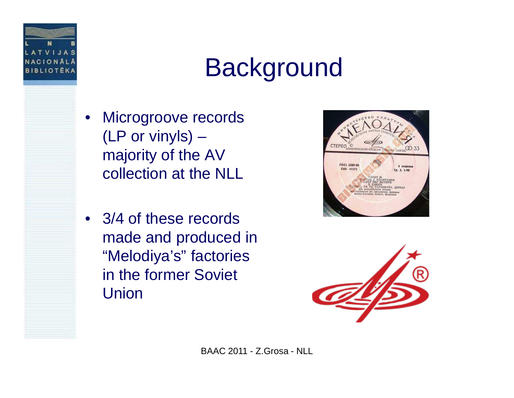

#### Background

- • Microgroove records (LP or vinyls) – majority of the AV collection at the NLL
- 3/4 of these records made and produced in "Melodiya's" factories in the former Soviet Union



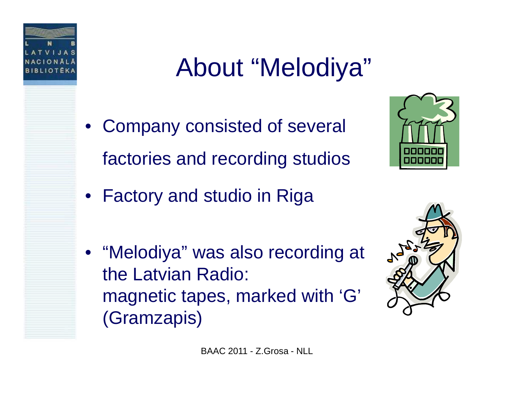

#### About "Melodiya"

• Company consisted of several factories and recording studios



- Factory and studio in Riga
- "Melodiya" was also recording at the Latvian Radio: magnetic tapes, marked with 'G' (Gramzapis)



BAAC 2011 - Z.Grosa - NLL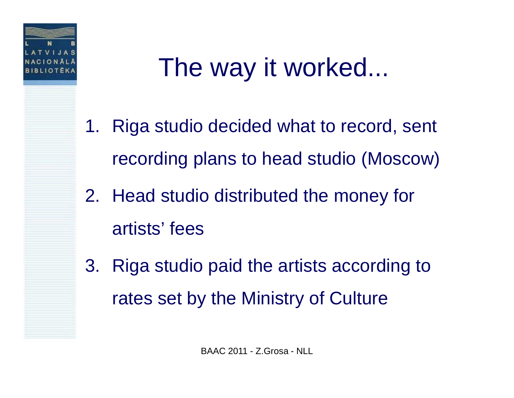

#### The way it worked...

- 1. Riga studio decided what to record, sent recording plans to head studio (Moscow)
- 2. Head studio distributed the money for artists' fees
- 3. Riga studio paid the artists according to rates set by the Ministry of Culture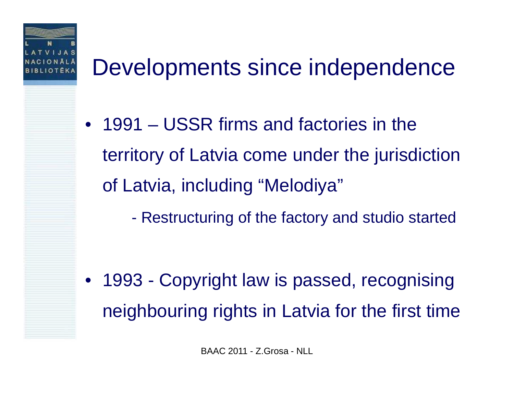

#### Developments since independence

- 1991 USSR firms and factories in the territory of Latvia come under the jurisdiction of Latvia, including "Melodiya"
	- $\mathcal{L}_{\mathcal{A}}$ Restructuring of the factory and studio started

 $\bullet$  1993 - Copyright law is passed, recognising neighbouring rights in Latvia for the first time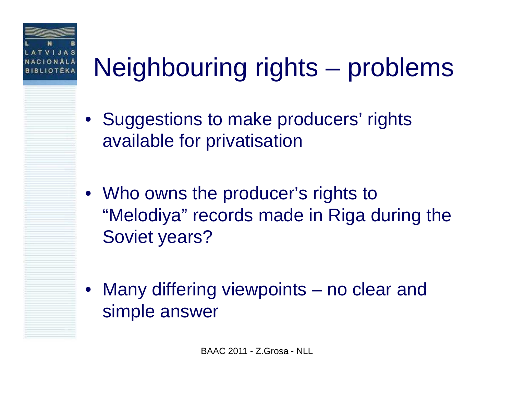

## Neighbouring rights – problems

- Suggestions to make producers' rights available for privatisation
- Who owns the producer's rights to "Melodiya" records made in Riga during the Soviet years?
- $\bullet$  Many differing viewpoints – no clear and simple answer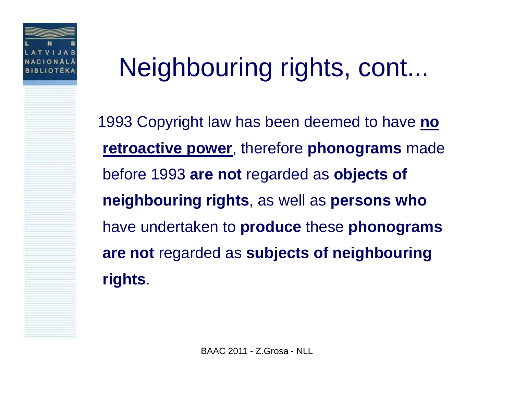

#### Neighbouring rights, cont...

1993 Copyright law has been deemed to have **no retroactive power**, therefore **phonograms** made before 1993 **are not** regarded as **objects of neighbouring rights**, as well as **persons who**  have undertaken to **produce** these **phonograms are not** regarded as **subjects of neighbouring rights**.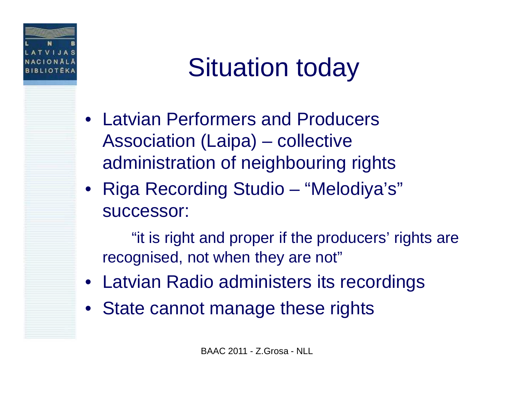

#### Situation today

- Latvian Performers and Producers Association (Laipa) – collective administration of neighbouring rights
- Riga Recording Studio  $\mathcal{L}_{\mathcal{A}}$ – "Melodiya's" successor:

"it is right and proper if the producers' rights are recognised, not when they are not"

- Latvian Radio administers its recordings
- State cannot manage these rights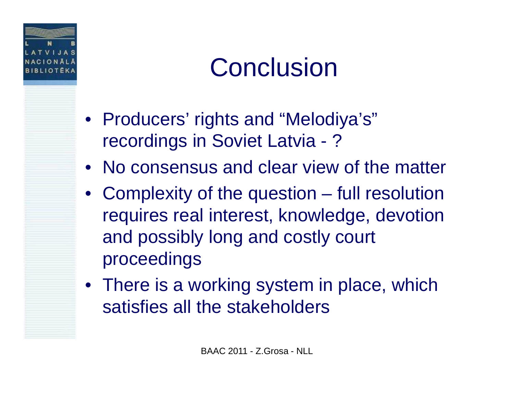

### **Conclusion**

- Producers' rights and "Melodiya's" recordings in Soviet Latvia - ?
- No consensus and clear view of the matter
- Complexity of the question full resolution requires real interest, knowledge, devotion and possibly long and costly court proceedings
- There is a working system in place, which satisfies all the stakeholders